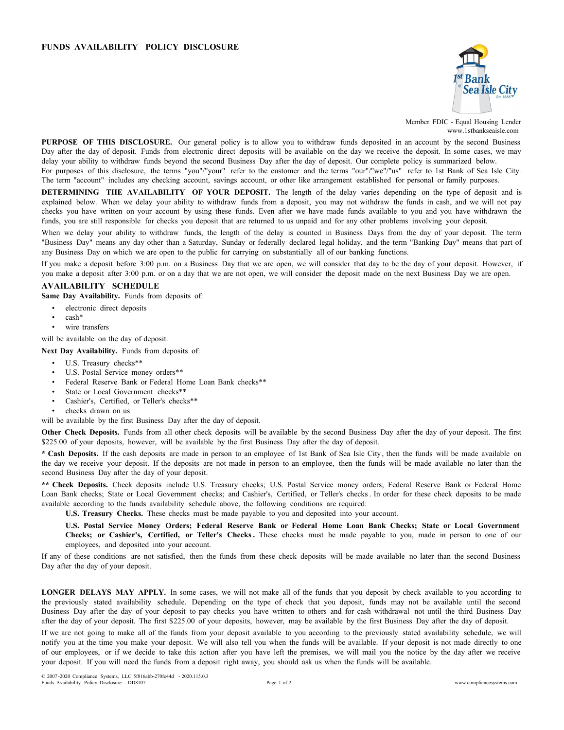## **FUNDS AVAILABILITY POLICY DISCLOSURE**



Member FDIC - Equal Housing Lender www.1stbankseaisle.com

**PURPOSE OF THIS DISCLOSURE.** Our general policy is to allow you to withdraw funds deposited in an account by the second Business Day after the day of deposit. Funds from electronic direct deposits will be available on the day we receive the deposit. In some cases, we may delay your ability to withdraw funds beyond the second Business Day after the day of deposit. Our complete policy is summarized below.

For purposes of this disclosure, the terms "you"/"your" refer to the customer and the terms "our"/"we"/"us" refer to 1st Bank of Sea Isle City. The term "account" includes any checking account, savings account, or other like arrangement established for personal or family purposes.

**DETERMINING THE AVAILABILITY OF YOUR DEPOSIT.** The length of the delay varies depending on the type of deposit and is explained below. When we delay your ability to withdraw funds from a deposit, you may not withdraw the funds in cash, and we will not pay checks you have written on your account by using these funds. Even after we have made funds available to you and you have withdrawn the funds, you are still responsible for checks you deposit that are returned to us unpaid and for any other problems involving your deposit.

When we delay your ability to withdraw funds, the length of the delay is counted in Business Days from the day of your deposit. The term "Business Day" means any day other than a Saturday, Sunday or federally declared legal holiday, and the term "Banking Day" means that part of any Business Day on which we are open to the public for carrying on substantially all of our banking functions.

If you make a deposit before 3:00 p.m. on a Business Day that we are open, we will consider that day to be the day of your deposit. However, if you make a deposit after 3:00 p.m. or on a day that we are not open, we will consider the deposit made on the next Business Day we are open.

## **AVAILABILITY SCHEDULE**

**Same Day Availability.** Funds from deposits of:

- electronic direct deposits
- cash\*
- wire transfers

will be available on the day of deposit.

**Next Day Availability.** Funds from deposits of:

- U.S. Treasury checks\*\*
- U.S. Postal Service money orders\*\*
- Federal Reserve Bank or Federal Home Loan Bank checks\*\*
- State or Local Government checks\*\*
- Cashier's, Certified, or Teller's checks\*\*
- checks drawn on us

will be available by the first Business Day after the day of deposit.

**Other Check Deposits.** Funds from all other check deposits will be available by the second Business Day after the day of your deposit. The first \$225.00 of your deposits, however, will be available by the first Business Day after the day of deposit.

**\* Cash Deposits.** If the cash deposits are made in person to an employee of 1st Bank of Sea Isle City, then the funds will be made available on the day we receive your deposit. If the deposits are not made in person to an employee, then the funds will be made available no later than the second Business Day after the day of your deposit.

**\*\* Check Deposits.** Check deposits include U.S. Treasury checks; U.S. Postal Service money orders; Federal Reserve Bank or Federal Home Loan Bank checks; State or Local Government checks; and Cashier's, Certified, or Teller's checks. In order for these check deposits to be made available according to the funds availability schedule above, the following conditions are required:

**U.S. Treasury Checks.** These checks must be made payable to you and deposited into your account.

U.S. Postal Service Money Orders; Federal Reserve Bank or Federal Home Loan Bank Checks; State or Local Government **Checks; or Cashier's, Certified, or Teller's Checks .** These checks must be made payable to you, made in person to one of our employees, and deposited into your account.

If any of these conditions are not satisfied, then the funds from these check deposits will be made available no later than the second Business Day after the day of your deposit.

**LONGER DELAYS MAY APPLY.** In some cases, we will not make all of the funds that you deposit by check available to you according to the previously stated availability schedule. Depending on the type of check that you deposit, funds may not be available until the second Business Day after the day of your deposit to pay checks you have written to others and for cash withdrawal not until the third Business Day after the day of your deposit. The first \$225.00 of your deposits, however, may be available by the first Business Day after the day of deposit.

If we are not going to make all of the funds from your deposit available to you according to the previously stated availability schedule, we will notify you at the time you make your deposit. We will also tell you when the funds will be available. If your deposit is not made directly to one of our employees, or if we decide to take this action after you have left the premises, we will mail you the notice by the day after we receive your deposit. If you will need the funds from a deposit right away, you should ask us when the funds will be available.